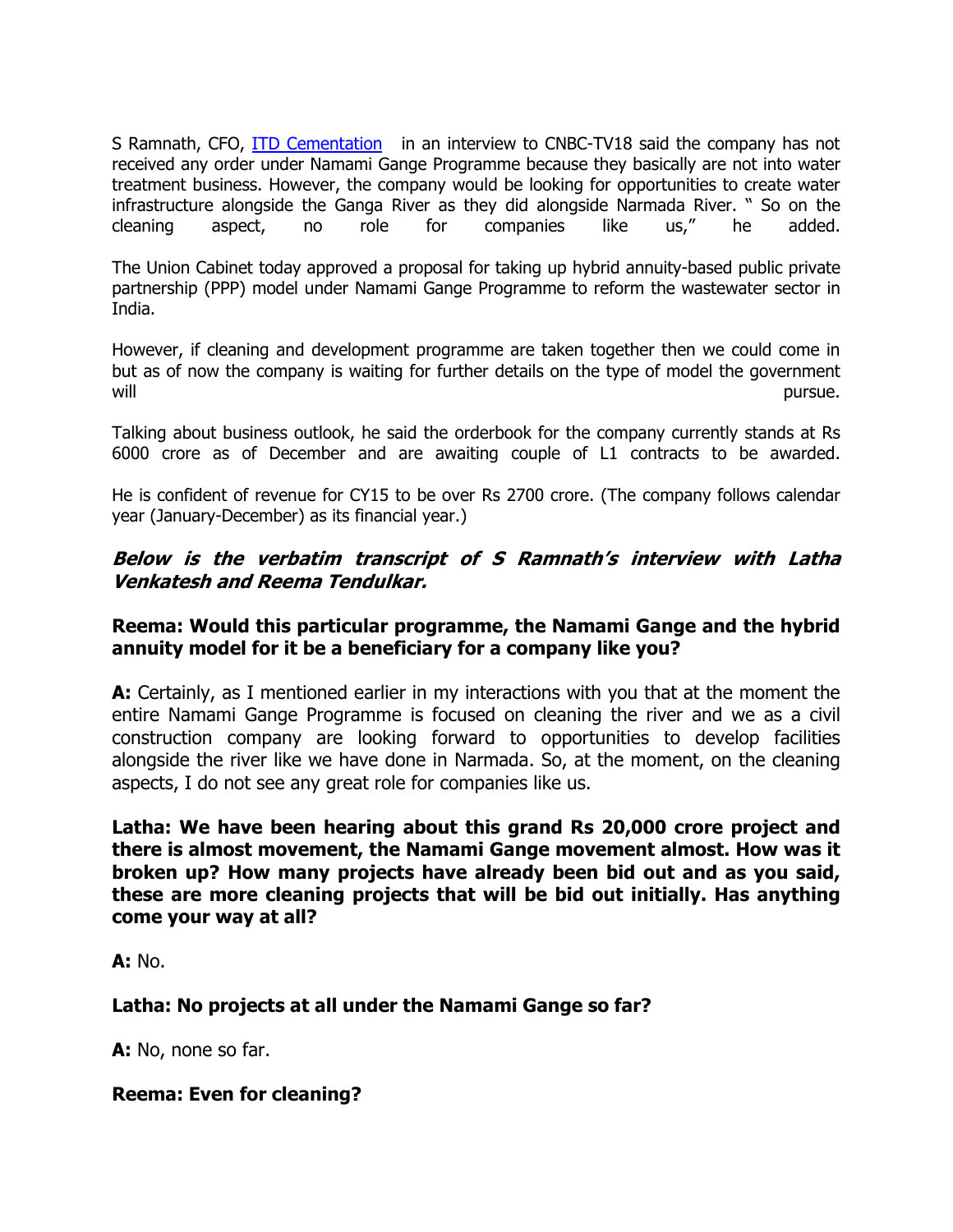S Ramnath, CFO, ITD Cementation in an interview to CNBC-TV18 said the company has not received any order under Namami Gange Programme because they basically are not into water treatment business. However, the company would be looking for opportunities to create water infrastructure alongside the Ganga River as they did alongside Narmada River. " So on the cleaning aspect, no role for companies like us," he added.

The Union Cabinet today approved a proposal for taking up hybrid annuity-based public private partnership (PPP) model under Namami Gange Programme to reform the wastewater sector in India.

However, if cleaning and development programme are taken together then we could come in but as of now the company is waiting for further details on the type of model the government will resource the contract of the contract of the contract of the contract of the contract of the contract of the contract of the contract of the contract of the contract of the contract of the contract of the contract of

Talking about business outlook, he said the orderbook for the company currently stands at Rs 6000 crore as of December and are awaiting couple of L1 contracts to be awarded.

He is confident of revenue for CY15 to be over Rs 2700 crore. (The company follows calendar year (January-December) as its financial year.)

## Below is the verbatim transcript of S Ramnath's interview with Latha Venkatesh and Reema Tendulkar.

#### Reema: Would this particular programme, the Namami Gange and the hybrid annuity model for it be a beneficiary for a company like you?

A: Certainly, as I mentioned earlier in my interactions with you that at the moment the entire Namami Gange Programme is focused on cleaning the river and we as a civil construction company are looking forward to opportunities to develop facilities alongside the river like we have done in Narmada. So, at the moment, on the cleaning aspects, I do not see any great role for companies like us.

Latha: We have been hearing about this grand Rs 20,000 crore project and there is almost movement, the Namami Gange movement almost. How was it broken up? How many projects have already been bid out and as you said, these are more cleaning projects that will be bid out initially. Has anything come your way at all?

 $A: No.$ 

# Latha: No projects at all under the Namami Gange so far?

A: No, none so far.

Reema: Even for cleaning?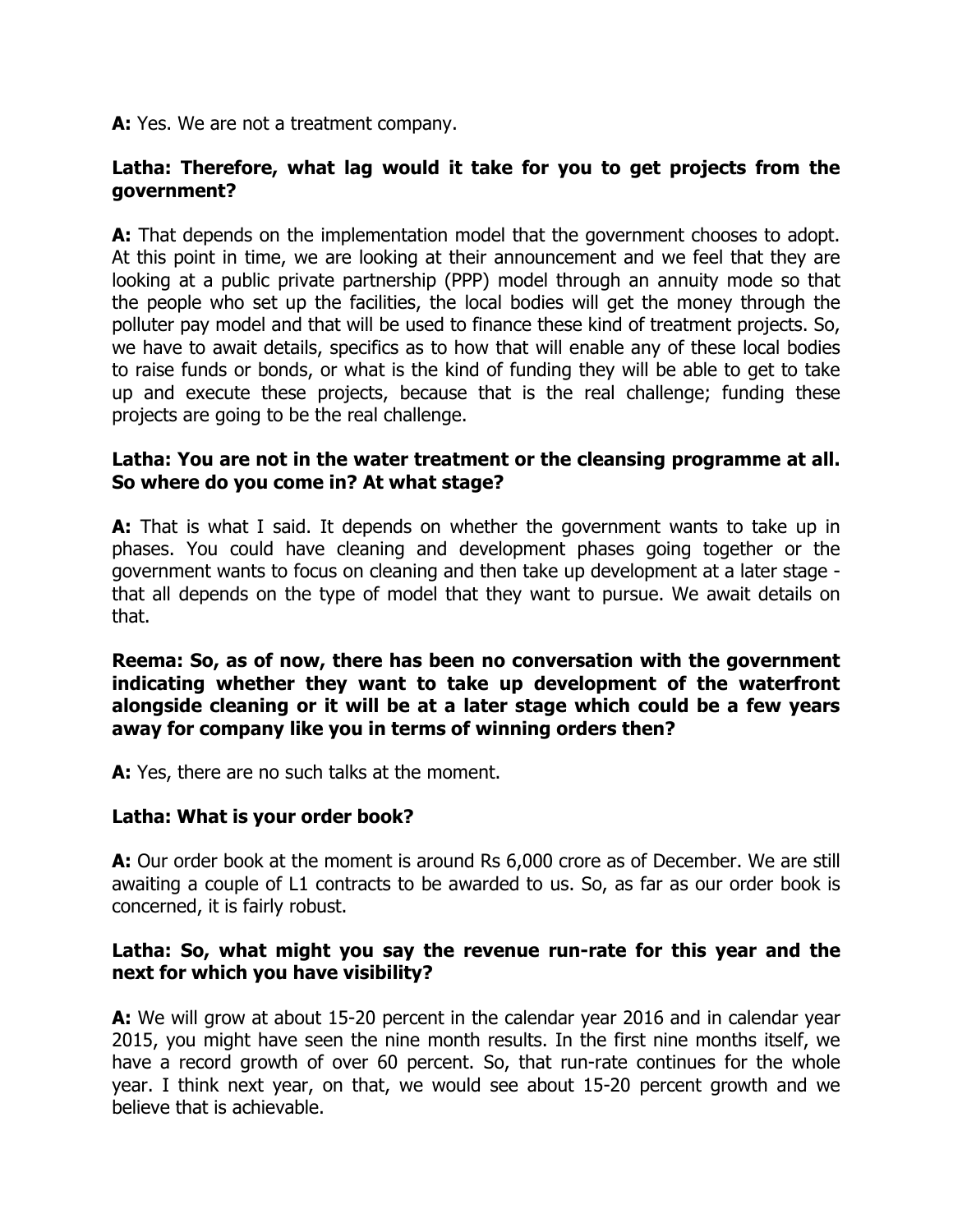A: Yes. We are not a treatment company.

# Latha: Therefore, what lag would it take for you to get projects from the government?

A: That depends on the implementation model that the government chooses to adopt. At this point in time, we are looking at their announcement and we feel that they are looking at a public private partnership (PPP) model through an annuity mode so that the people who set up the facilities, the local bodies will get the money through the polluter pay model and that will be used to finance these kind of treatment projects. So, we have to await details, specifics as to how that will enable any of these local bodies to raise funds or bonds, or what is the kind of funding they will be able to get to take up and execute these projects, because that is the real challenge; funding these projects are going to be the real challenge.

## Latha: You are not in the water treatment or the cleansing programme at all. So where do you come in? At what stage?

**A:** That is what I said. It depends on whether the government wants to take up in phases. You could have cleaning and development phases going together or the government wants to focus on cleaning and then take up development at a later stage that all depends on the type of model that they want to pursue. We await details on that.

Reema: So, as of now, there has been no conversation with the government indicating whether they want to take up development of the waterfront alongside cleaning or it will be at a later stage which could be a few years away for company like you in terms of winning orders then?

A: Yes, there are no such talks at the moment.

# Latha: What is your order book?

A: Our order book at the moment is around Rs 6,000 crore as of December. We are still awaiting a couple of L1 contracts to be awarded to us. So, as far as our order book is concerned, it is fairly robust.

#### Latha: So, what might you say the revenue run-rate for this year and the next for which you have visibility?

A: We will grow at about 15-20 percent in the calendar year 2016 and in calendar year 2015, you might have seen the nine month results. In the first nine months itself, we have a record growth of over 60 percent. So, that run-rate continues for the whole year. I think next year, on that, we would see about 15-20 percent growth and we believe that is achievable.